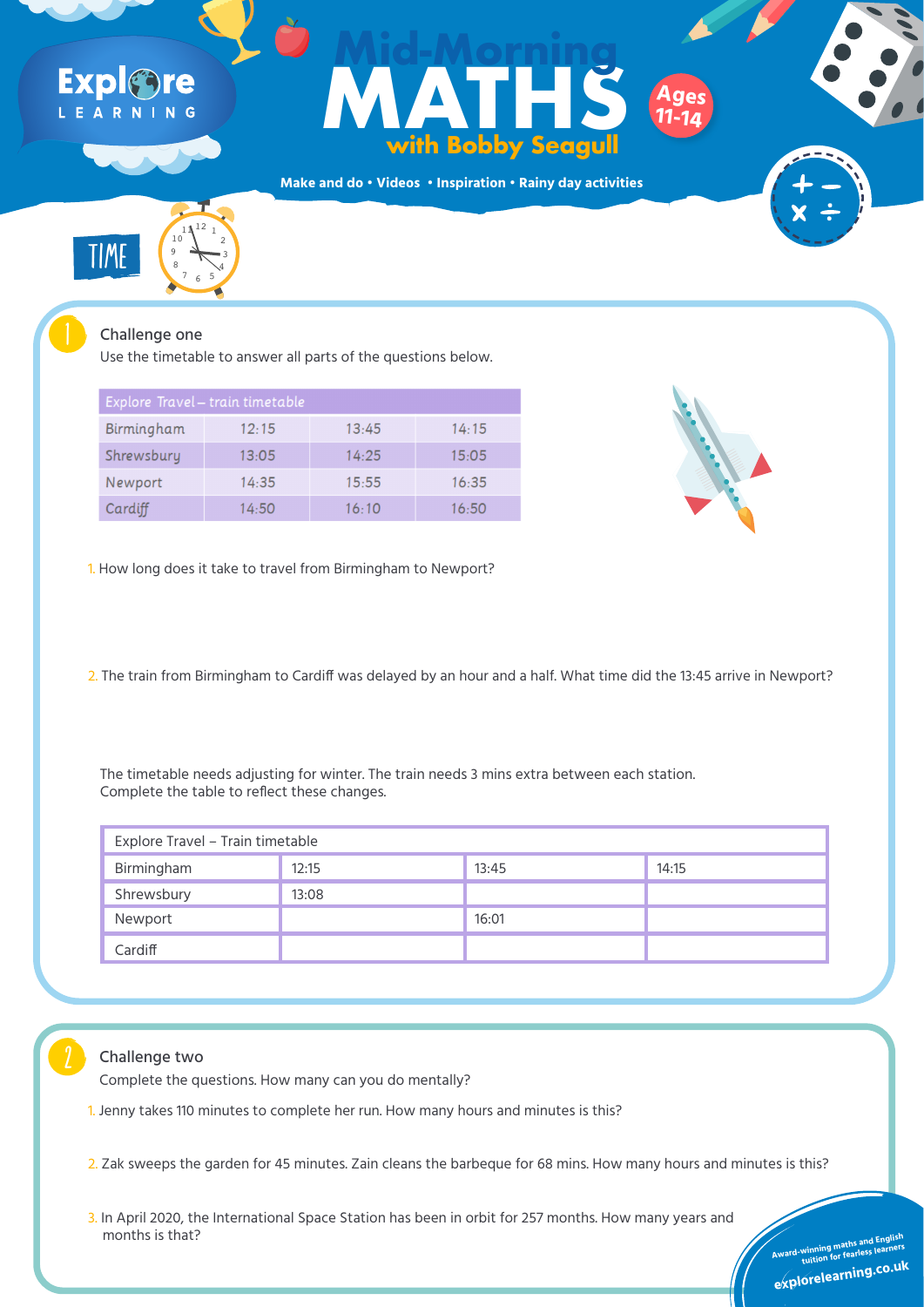Use the timetable to answer all parts of the questions below.

| Explore Travel - train timetable |       |       |       |  |  |
|----------------------------------|-------|-------|-------|--|--|
| Birmingham                       | 12:15 | 13:45 | 14:15 |  |  |
| Shrewsbury                       | 13:05 | 14:25 | 15:05 |  |  |
| Newport                          | 14:35 | 15:55 | 16:35 |  |  |
| Cardiff                          | 14:50 | 16:10 | 16:50 |  |  |



| Explore Travel - Train timetable |       |       |       |  |
|----------------------------------|-------|-------|-------|--|
| Birmingham                       | 12:15 | 13:45 | 14:15 |  |
| Shrewsbury                       | 13:08 |       |       |  |
| Newport                          |       | 16:01 |       |  |
| Cardiff                          |       |       |       |  |

### Challenge two



The timetable needs adjusting for winter. The train needs 3 mins extra between each station. Complete the table to reflect these changes.

# Expl&ne LEARNING

## Ages<br>
With Bobby Seagull<br>
ddo · Videos · Inspiration · Rainy day activities **MATHS with Bobby Seagull Mid-Morning Ages 11-14**

TIME

 $11^{12}$  1

10

 $9 \leftarrow 3$ 

6

 $7 \times 5$ 

8 4

**Make and do • Videos • Inspiration • Rainy day activities**



**tuition for fearless learners**

**Award-winning maths and English and English and English and English and English and English and English and English and English and English and English and English and English and English and English and English and Engli** 3. In April 2020, the International Space Station has been in orbit for 257 months. How many years and months is that?

**explorelearning.co.u<sup>k</sup>**

1. How long does it take to travel from Birmingham to Newport?

2. The train from Birmingham to Cardiff was delayed by an hour and a half. What time did the 13:45 arrive in Newport?

1. Jenny takes 110 minutes to complete her run. How many hours and minutes is this?

2. Zak sweeps the garden for 45 minutes. Zain cleans the barbeque for 68 mins. How many hours and minutes is this?

**tuition for fearless learners**

**explorelearning.co.u<sup>k</sup>**

Complete the questions. How many can you do mentally?